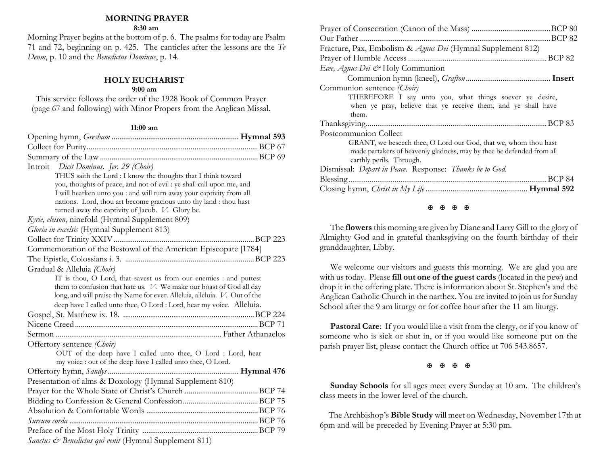## **MORNING PRAYER**

#### **8:30 am**

Morning Prayer begins at the bottom of p. 6. The psalms for today are Psalm 71 and 72, beginning on p. 425. The canticles after the lessons are the *Te Deum*, p. 10 and the *Benedictus Dominus*, p. 14.

# **HOLY EUCHARIST**

## **9:00 am**

This service follows the order of the 1928 Book of Common Prayer (page 67 and following) with Minor Propers from the Anglican Missal.

### **11:00 am**

| Introit Dicit Dominus. Jer. 29 (Choir)                                                                                                   |  |
|------------------------------------------------------------------------------------------------------------------------------------------|--|
| THUS saith the Lord : I know the thoughts that I think toward                                                                            |  |
| you, thoughts of peace, and not of evil : ye shall call upon me, and                                                                     |  |
| I will hearken unto you : and will turn away your captivity from all                                                                     |  |
| nations. Lord, thou art become gracious unto thy land : thou hast                                                                        |  |
| turned away the captivity of Jacob. V. Glory be.                                                                                         |  |
| Kyrie, eleison, ninefold (Hymnal Supplement 809)                                                                                         |  |
| Gloria in excelsis (Hymnal Supplement 813)                                                                                               |  |
|                                                                                                                                          |  |
| Commemoration of the Bestowal of the American Episcopate [1784]                                                                          |  |
|                                                                                                                                          |  |
| Gradual & Alleluia (Choir)                                                                                                               |  |
| IT is thou, O Lord, that savest us from our enemies : and puttest<br>them to confusion that hate us. V. We make our boast of God all day |  |
| long, and will praise thy Name for ever. Alleluia, alleluia. V. Out of the                                                               |  |
| deep have I called unto thee, O Lord : Lord, hear my voice. Alleluia.                                                                    |  |
|                                                                                                                                          |  |
|                                                                                                                                          |  |
|                                                                                                                                          |  |
| Offertory sentence (Choir)                                                                                                               |  |
| OUT of the deep have I called unto thee, O Lord : Lord, hear                                                                             |  |
| my voice : out of the deep have I called unto thee, O Lord.                                                                              |  |
|                                                                                                                                          |  |
| Presentation of alms & Doxology (Hymnal Supplement 810)                                                                                  |  |
|                                                                                                                                          |  |
|                                                                                                                                          |  |
|                                                                                                                                          |  |
|                                                                                                                                          |  |
|                                                                                                                                          |  |
| <i>Sanctus &amp; Benedictus qui venit</i> (Hymnal Supplement 811)                                                                        |  |

| Fracture, Pax, Embolism & Agnus Dei (Hymnal Supplement 812)           |
|-----------------------------------------------------------------------|
|                                                                       |
| Ecee, Agnus Dei & Holy Communion                                      |
|                                                                       |
| Communion sentence (Choir)                                            |
| THEREFORE I say unto you, what things soever ye desire,               |
| when ye pray, believe that ye receive them, and ye shall have         |
| them.                                                                 |
|                                                                       |
| Postcommunion Collect                                                 |
| GRANT, we beseech thee, O Lord our God, that we, whom thou hast       |
| made partakers of heavenly gladness, may by thee be defended from all |
| earthly perils. Through.                                              |
| Dismissal: Depart in Peace. Response: Thanks be to God.               |
|                                                                       |
|                                                                       |
|                                                                       |

#### **H H H H**

The **flowers** this morning are given by Diane and Larry Gill to the glory of Almighty God and in grateful thanksgiving on the fourth birthday of their granddaughter, Libby.

We welcome our visitors and guests this morning. We are glad you are with us today. Please **fill out one of the guest cards** (located in the pew) and drop it in the offering plate. There is information about St. Stephen's and the Anglican Catholic Church in the narthex. You are invited to join us for Sunday School after the 9 am liturgy or for coffee hour after the 11 am liturgy.

**Pastoral Care:** If you would like a visit from the clergy, or if you know of someone who is sick or shut in, or if you would like someone put on the parish prayer list, please contact the Church office at 706 543.8657.

#### 医困困困

**Sunday Schools** for all ages meet every Sunday at 10 am. The children's class meets in the lower level of the church.

 The Archbishop's **Bible Study** will meet on Wednesday, November 17th at 6pm and will be preceded by Evening Prayer at 5:30 pm.